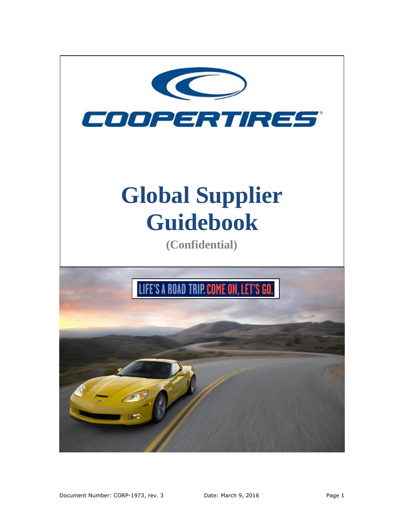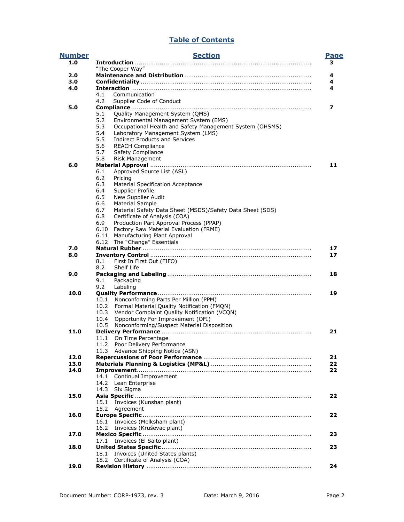# **Table of Contents**

| <b>Number</b> | <b>Section</b>                                                   |                  |  |  |  |  |  |
|---------------|------------------------------------------------------------------|------------------|--|--|--|--|--|
| 1.0           |                                                                  | <b>Page</b><br>з |  |  |  |  |  |
|               | "The Cooper Way"                                                 |                  |  |  |  |  |  |
| 2.0           |                                                                  | 4                |  |  |  |  |  |
| 3.0           |                                                                  | 4                |  |  |  |  |  |
| 4.0           | 4.1<br>Communication                                             | 4                |  |  |  |  |  |
|               | 4.2                                                              |                  |  |  |  |  |  |
| 5.0           | Supplier Code of Conduct                                         | 7                |  |  |  |  |  |
|               | Quality Management System (QMS)<br>5.1                           |                  |  |  |  |  |  |
|               | 5.2<br>Environmental Management System (EMS)                     |                  |  |  |  |  |  |
|               | 5.3<br>Occupational Health and Safety Management System (OHSMS)  |                  |  |  |  |  |  |
|               | 5.4<br>Laboratory Management System (LMS)                        |                  |  |  |  |  |  |
|               | 5.5<br><b>Indirect Products and Services</b>                     |                  |  |  |  |  |  |
|               | 5.6<br><b>REACH Compliance</b>                                   |                  |  |  |  |  |  |
|               | 5.7<br><b>Safety Compliance</b>                                  |                  |  |  |  |  |  |
|               | 5.8<br><b>Risk Management</b>                                    |                  |  |  |  |  |  |
| 6.0           |                                                                  | 11               |  |  |  |  |  |
|               | Approved Source List (ASL)<br>6.1                                |                  |  |  |  |  |  |
|               | 6.2<br>Pricing                                                   |                  |  |  |  |  |  |
|               | 6.3<br><b>Material Specification Acceptance</b>                  |                  |  |  |  |  |  |
|               | 6.4<br>Supplier Profile                                          |                  |  |  |  |  |  |
|               | New Supplier Audit<br>6.5                                        |                  |  |  |  |  |  |
|               | 6.6<br>Material Sample                                           |                  |  |  |  |  |  |
|               | 6.7<br>Material Safety Data Sheet (MSDS)/Safety Data Sheet (SDS) |                  |  |  |  |  |  |
|               | Certificate of Analysis (COA)<br>6.8                             |                  |  |  |  |  |  |
|               | 6.9<br>Production Part Approval Process (PPAP)                   |                  |  |  |  |  |  |
|               | Factory Raw Material Evaluation (FRME)<br>6.10                   |                  |  |  |  |  |  |
|               | Manufacturing Plant Approval<br>6.11                             |                  |  |  |  |  |  |
|               | 6.12 The "Change" Essentials                                     |                  |  |  |  |  |  |
| 7.0           |                                                                  | 17               |  |  |  |  |  |
| 8.0           |                                                                  | 17               |  |  |  |  |  |
|               | 8.1<br>First In First Out (FIFO)                                 |                  |  |  |  |  |  |
|               | 8.2<br>Shelf Life                                                |                  |  |  |  |  |  |
| 9.0           |                                                                  | 18               |  |  |  |  |  |
|               | 9.1<br>Packaging                                                 |                  |  |  |  |  |  |
|               | 9.2<br>Labeling                                                  |                  |  |  |  |  |  |
| 10.0          | Nonconforming Parts Per Million (PPM)<br>10.1                    | 19               |  |  |  |  |  |
|               | 10.2<br>Formal Material Quality Notification (FMQN)              |                  |  |  |  |  |  |
|               | Vendor Complaint Quality Notification (VCQN)<br>10.3             |                  |  |  |  |  |  |
|               | 10.4<br>Opportunity For Improvement (OFI)                        |                  |  |  |  |  |  |
|               | Nonconforming/Suspect Material Disposition<br>10.5               |                  |  |  |  |  |  |
| 11.0          |                                                                  | 21               |  |  |  |  |  |
|               | On Time Percentage<br>11.1                                       |                  |  |  |  |  |  |
|               | 11.2<br>Poor Delivery Performance                                |                  |  |  |  |  |  |
|               | 11.3 Advance Shipping Notice (ASN)                               |                  |  |  |  |  |  |
| 12.0          |                                                                  | 21               |  |  |  |  |  |
| 13.0          |                                                                  | 22               |  |  |  |  |  |
| 14.0          |                                                                  | 22               |  |  |  |  |  |
|               | Continual Improvement<br>14.1                                    |                  |  |  |  |  |  |
|               | 14.2<br>Lean Enterprise                                          |                  |  |  |  |  |  |
|               | 14.3<br>Six Sigma                                                |                  |  |  |  |  |  |
| 15.0          |                                                                  | 22               |  |  |  |  |  |
|               | Invoices (Kunshan plant)<br>15.1                                 |                  |  |  |  |  |  |
|               | 15.2<br>Agreement                                                |                  |  |  |  |  |  |
| 16.0          |                                                                  | 22               |  |  |  |  |  |
|               | Invoices (Melksham plant)<br>16.1                                |                  |  |  |  |  |  |
|               | 16.2<br>Invoices (Kruševac plant)                                |                  |  |  |  |  |  |
| 17.0          |                                                                  | 23               |  |  |  |  |  |
|               | Invoices (El Salto plant)<br>17.1                                |                  |  |  |  |  |  |
| 18.0          |                                                                  | 23               |  |  |  |  |  |
|               | Invoices (United States plants)<br>18.1                          |                  |  |  |  |  |  |
|               | Certificate of Analysis (COA)<br>18.2                            |                  |  |  |  |  |  |
| 19.0          |                                                                  | 24               |  |  |  |  |  |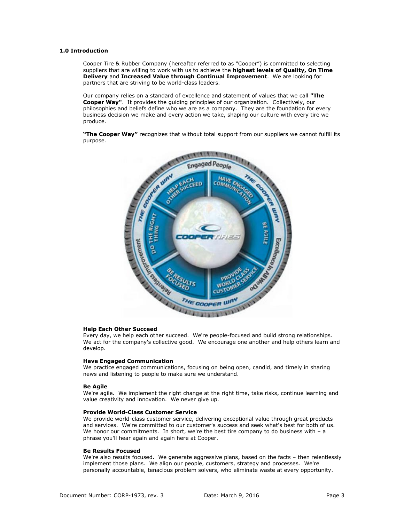# <span id="page-2-0"></span>**1.0 Introduction**

Cooper Tire & Rubber Company (hereafter referred to as "Cooper") is committed to selecting suppliers that are willing to work with us to achieve the **highest levels of Quality, On Time Delivery** and **Increased Value through Continual Improvement**.We are looking for partners that are striving to be world-class leaders.

Our company relies on a standard of excellence and statement of values that we call **"The Cooper Way"**. It provides the guiding principles of our organization. Collectively, our philosophies and beliefs define who we are as a company. They are the foundation for every business decision we make and every action we take, shaping our culture with every tire we produce.

**"The Cooper Way"** recognizes that without total support from our suppliers we cannot fulfill its purpose.



### **Help Each Other Succeed**

Every day, we help each other succeed. We're people-focused and build strong relationships. We act for the company's collective good. We encourage one another and help others learn and develop.

### **Have Engaged Communication**

We practice engaged communications, focusing on being open, candid, and timely in sharing news and listening to people to make sure we understand.

#### **Be Agile**

We're agile. We implement the right change at the right time, take risks, continue learning and value creativity and innovation. We never give up.

# **Provide World-Class Customer Service**

We provide world-class customer service, delivering exceptional value through great products and services. We're committed to our customer's success and seek what's best for both of us. We honor our commitments. In short, we're the best tire company to do business with - a phrase you'll hear again and again here at Cooper.

# **Be Results Focused**

We're also results focused. We generate aggressive plans, based on the facts - then relentlessly implement those plans. We align our people, customers, strategy and processes. We're personally accountable, tenacious problem solvers, who eliminate waste at every opportunity.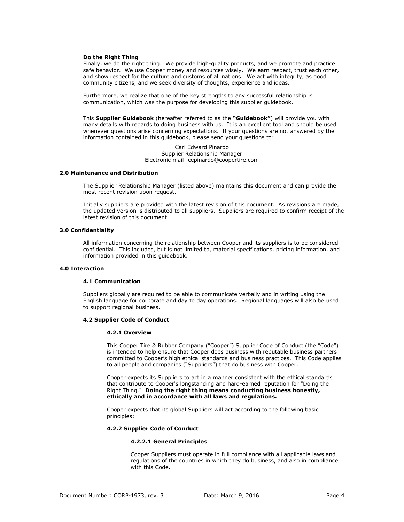### **Do the Right Thing**

Finally, we do the right thing. We provide high-quality products, and we promote and practice safe behavior. We use Cooper money and resources wisely. We earn respect, trust each other, and show respect for the culture and customs of all nations. We act with integrity, as good community citizens, and we seek diversity of thoughts, experience and ideas.

Furthermore, we realize that one of the key strengths to any successful relationship is communication, which was the purpose for developing this supplier guidebook.

This **Supplier Guidebook** (hereafter referred to as the **"Guidebook"**) will provide you with many details with regards to doing business with us. It is an excellent tool and should be used whenever questions arise concerning expectations. If your questions are not answered by the information contained in this guidebook, please send your questions to:

> Carl Edward Pinardo Supplier Relationship Manager Electronic mail: [cepinardo@coopertire.com](mailto:cepinardo@coopertire.com)

# <span id="page-3-0"></span>**2.0 Maintenance and Distribution**

The Supplier Relationship Manager (listed above) maintains this document and can provide the most recent revision upon request.

Initially suppliers are provided with the latest revision of this document. As revisions are made, the updated version is distributed to all suppliers. Suppliers are required to confirm receipt of the latest revision of this document.

# <span id="page-3-1"></span>**3.0 Confidentiality**

All information concerning the relationship between Cooper and its suppliers is to be considered confidential. This includes, but is not limited to, material specifications, pricing information, and information provided in this guidebook.

# <span id="page-3-2"></span>**4.0 Interaction**

# **4.1 Communication**

Suppliers globally are required to be able to communicate verbally and in writing using the English language for corporate and day to day operations. Regional languages will also be used to support regional business.

#### **4.2 Supplier Code of Conduct**

#### **4.2.1 Overview**

This Cooper Tire & Rubber Company ("Cooper") Supplier Code of Conduct (the "Code") is intended to help ensure that Cooper does business with reputable business partners committed to Cooper's high ethical standards and business practices. This Code applies to all people and companies ("Suppliers") that do business with Cooper.

Cooper expects its Suppliers to act in a manner consistent with the ethical standards that contribute to Cooper's longstanding and hard-earned reputation for "Doing the Right Thing." **Doing the right thing means conducting business honestly, ethically and in accordance with all laws and regulations.**

Cooper expects that its global Suppliers will act according to the following basic principles:

# **4.2.2 Supplier Code of Conduct**

# **4.2.2.1 General Principles**

Cooper Suppliers must operate in full compliance with all applicable laws and regulations of the countries in which they do business, and also in compliance with this Code.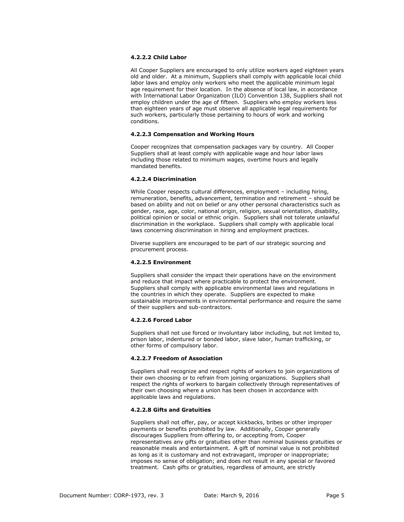# **4.2.2.2 Child Labor**

All Cooper Suppliers are encouraged to only utilize workers aged eighteen years old and older. At a minimum, Suppliers shall comply with applicable local child labor laws and employ only workers who meet the applicable minimum legal age requirement for their location. In the absence of local law, in accordance with International Labor Organization (ILO) Convention 138, Suppliers shall not employ children under the age of fifteen. Suppliers who employ workers less than eighteen years of age must observe all applicable legal requirements for such workers, particularly those pertaining to hours of work and working conditions.

# **4.2.2.3 Compensation and Working Hours**

Cooper recognizes that compensation packages vary by country. All Cooper Suppliers shall at least comply with applicable wage and hour labor laws including those related to minimum wages, overtime hours and legally mandated benefits.

# **4.2.2.4 Discrimination**

While Cooper respects cultural differences, employment - including hiring, remuneration, benefits, advancement, termination and retirement – should be based on ability and not on belief or any other personal characteristics such as gender, race, age, color, national origin, religion, sexual orientation, disability, political opinion or social or ethnic origin. Suppliers shall not tolerate unlawful discrimination in the workplace. Suppliers shall comply with applicable local laws concerning discrimination in hiring and employment practices.

Diverse suppliers are encouraged to be part of our strategic sourcing and procurement process.

# **4.2.2.5 Environment**

Suppliers shall consider the impact their operations have on the environment and reduce that impact where practicable to protect the environment. Suppliers shall comply with applicable environmental laws and regulations in the countries in which they operate. Suppliers are expected to make sustainable improvements in environmental performance and require the same of their suppliers and sub-contractors.

# **4.2.2.6 Forced Labor**

Suppliers shall not use forced or involuntary labor including, but not limited to, prison labor, indentured or bonded labor, slave labor, human trafficking, or other forms of compulsory labor.

# **4.2.2.7 Freedom of Association**

Suppliers shall recognize and respect rights of workers to join organizations of their own choosing or to refrain from joining organizations. Suppliers shall respect the rights of workers to bargain collectively through representatives of their own choosing where a union has been chosen in accordance with applicable laws and regulations.

# **4.2.2.8 Gifts and Gratuities**

Suppliers shall not offer, pay, or accept kickbacks, bribes or other improper payments or benefits prohibited by law. Additionally, Cooper generally discourages Suppliers from offering to, or accepting from, Cooper representatives any gifts or gratuities other than nominal business gratuities or reasonable meals and entertainment. A gift of nominal value is not prohibited as long as it is customary and not extravagant, improper or inappropriate; imposes no sense of obligation; and does not result in any special or favored treatment. Cash gifts or gratuities, regardless of amount, are strictly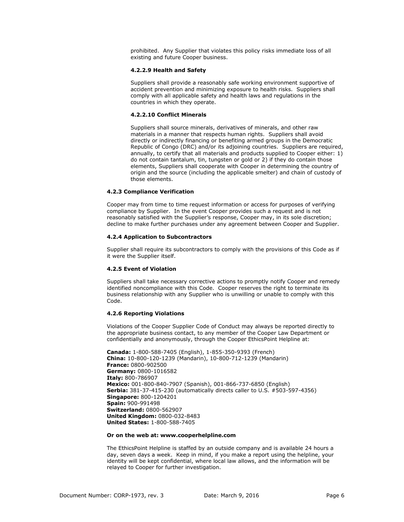prohibited. Any Supplier that violates this policy risks immediate loss of all existing and future Cooper business.

# **4.2.2.9 Health and Safety**

Suppliers shall provide a reasonably safe working environment supportive of accident prevention and minimizing exposure to health risks. Suppliers shall comply with all applicable safety and health laws and regulations in the countries in which they operate.

# **4.2.2.10 Conflict Minerals**

Suppliers shall source minerals, derivatives of minerals, and other raw materials in a manner that respects human rights. Suppliers shall avoid directly or indirectly financing or benefiting armed groups in the Democratic Republic of Congo (DRC) and/or its adjoining countries. Suppliers are required, annually, to certify that all materials and products supplied to Cooper either: 1) do not contain tantalum, tin, tungsten or gold or 2) if they do contain those elements, Suppliers shall cooperate with Cooper in determining the country of origin and the source (including the applicable smelter) and chain of custody of those elements.

# **4.2.3 Compliance Verification**

Cooper may from time to time request information or access for purposes of verifying compliance by Supplier. In the event Cooper provides such a request and is not reasonably satisfied with the Supplier's response, Cooper may, in its sole discretion; decline to make further purchases under any agreement between Cooper and Supplier.

### **4.2.4 Application to Subcontractors**

Supplier shall require its subcontractors to comply with the provisions of this Code as if it were the Supplier itself.

# **4.2.5 Event of Violation**

Suppliers shall take necessary corrective actions to promptly notify Cooper and remedy identified noncompliance with this Code. Cooper reserves the right to terminate its business relationship with any Supplier who is unwilling or unable to comply with this Code.

# **4.2.6 Reporting Violations**

Violations of the Cooper Supplier Code of Conduct may always be reported directly to the appropriate business contact, to any member of the Cooper Law Department or confidentially and anonymously, through the Cooper EthicsPoint Helpline at:

**Canada:** 1-800-588-7405 (English), 1-855-350-9393 (French) **China:** 10-800-120-1239 (Mandarin), 10-800-712-1239 (Mandarin) **France:** 0800-902500 **Germany:** 0800-1016582 **Italy:** 800-786907 **Mexico:** 001-800-840-7907 (Spanish), 001-866-737-6850 (English) **Serbia:** 381-37-415-230 (automatically directs caller to U.S. #503-597-4356) **Singapore:** 800-1204201 **Spain:** 900-991498 **Switzerland:** 0800-562907 **United Kingdom:** 0800-032-8483 **United States:** 1-800-588-7405

# **Or on the web at: www.cooperhelpline.com**

The EthicsPoint Helpline is staffed by an outside company and is available 24 hours a day, seven days a week. Keep in mind, if you make a report using the helpline, your identity will be kept confidential, where local law allows, and the information will be relayed to Cooper for further investigation.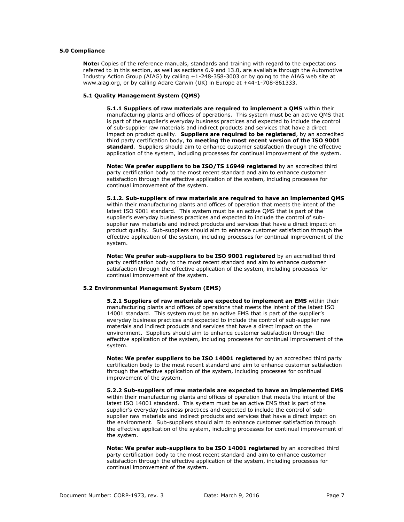# <span id="page-6-0"></span>**5.0 Compliance**

**Note:** Copies of the reference manuals, standards and training with regard to the expectations referred to in this section, as well as sections 6.9 and 13.0, are available through the Automotive Industry Action Group (AIAG) by calling +1-248-358-3003 or by going to the AIAG web site at www.aiag.org, or by calling Adare Carwin (UK) in Europe at +44-1-708-861333.

# **5.1 Quality Management System (QMS)**

**5.1.1 Suppliers of raw materials are required to implement a QMS** within their manufacturing plants and offices of operations. This system must be an active QMS that is part of the supplier's everyday business practices and expected to include the control of sub-supplier raw materials and indirect products and services that have a direct impact on product quality. **Suppliers are required to be registered**, by an accredited third party certification body, **to meeting the most recent version of the ISO 9001 standard**. Suppliers should aim to enhance customer satisfaction through the effective application of the system, including processes for continual improvement of the system.

**Note: We prefer suppliers to be ISO/TS 16949 registered** by an accredited third party certification body to the most recent standard and aim to enhance customer satisfaction through the effective application of the system, including processes for continual improvement of the system.

**5.1.2. Sub-suppliers of raw materials are required to have an implemented QMS** within their manufacturing plants and offices of operation that meets the intent of the latest ISO 9001 standard. This system must be an active QMS that is part of the supplier's everyday business practices and expected to include the control of subsupplier raw materials and indirect products and services that have a direct impact on product quality. Sub-suppliers should aim to enhance customer satisfaction through the effective application of the system, including processes for continual improvement of the system.

**Note: We prefer sub-suppliers to be ISO 9001 registered** by an accredited third party certification body to the most recent standard and aim to enhance customer satisfaction through the effective application of the system, including processes for continual improvement of the system.

#### **5.2 Environmental Management System (EMS)**

**5.2.1 Suppliers of raw materials are expected to implement an EMS** within their manufacturing plants and offices of operations that meets the intent of the latest ISO 14001 standard. This system must be an active EMS that is part of the supplier's everyday business practices and expected to include the control of sub-supplier raw materials and indirect products and services that have a direct impact on the environment. Suppliers should aim to enhance customer satisfaction through the effective application of the system, including processes for continual improvement of the system.

**Note: We prefer suppliers to be ISO 14001 registered** by an accredited third party certification body to the most recent standard and aim to enhance customer satisfaction through the effective application of the system, including processes for continual improvement of the system.

**5.2.2 Sub-suppliers of raw materials are expected to have an implemented EMS** within their manufacturing plants and offices of operation that meets the intent of the latest ISO 14001 standard. This system must be an active EMS that is part of the supplier's everyday business practices and expected to include the control of subsupplier raw materials and indirect products and services that have a direct impact on the environment. Sub-suppliers should aim to enhance customer satisfaction through the effective application of the system, including processes for continual improvement of the system.

**Note: We prefer sub-suppliers to be ISO 14001 registered** by an accredited third party certification body to the most recent standard and aim to enhance customer satisfaction through the effective application of the system, including processes for continual improvement of the system.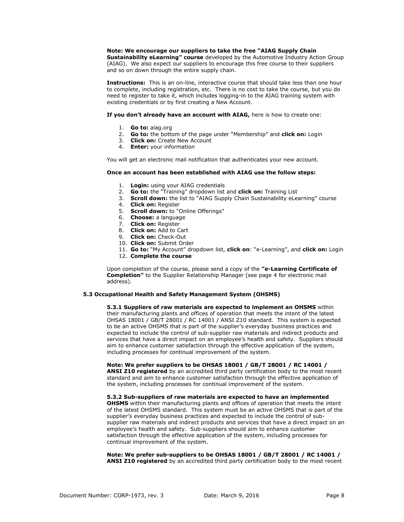# **Note: We encourage our suppliers to take the free "AIAG Supply Chain**

**Sustainability eLearning" course** developed by the Automotive Industry Action Group (AIAG). We also expect our suppliers to encourage this free course to their suppliers and so on down through the entire supply chain.

**Instructions:** This is an on-line, interactive course that should take less than one hour to complete, including registration, etc. There is no cost to take the course, but you do need to register to take it, which includes logging-in to the AIAG training system with existing credentials or by first creating a New Account.

**If you don't already have an account with AIAG,** here is how to create one:

- 1. **Go to:** aiag.org
- 2. **Go to:** the bottom of the page under "Membership" and **click on:** Login
- 3. **Click on:** Create New Account
- 4. **Enter:** your information

You will get an electronic mail notification that authenticates your new account.

# **Once an account has been established with AIAG use the follow steps:**

- 1. **Login:** using your AIAG credentials
- 2. **Go to:** the "Training" dropdown list and **click on:** Training List
- 3. **Scroll down:** the list to "AIAG Supply Chain Sustainability eLearning" course
- 4. **Click on:** Register
- 5. **Scroll down:** to "Online Offerings"
- 6. **Choose:** a language
- 7. **Click on:** Register
- 8. **Click on:** Add to Cart
- 9. **Click on:** Check-Out
- 10. **Click on:** Submit Order
- 11. **Go to:** "My Account" dropdown list, **click on**: "e-Learning", and **click on:** Login
- 12. **Complete the course**

Upon completion of the course, please send a copy of the **"e-Learning Certificate of Completion"** to the Supplier Relationship Manager (see page 4 for electronic mail address).

# **5.3 Occupational Health and Safety Management System (OHSMS)**

**5.3.1 Suppliers of raw materials are expected to implement an OHSMS** within their manufacturing plants and offices of operation that meets the intent of the latest OHSAS 18001 / GB/T 28001 / RC 14001 / ANSI Z10 standard. This system is expected to be an active OHSMS that is part of the supplier's everyday business practices and expected to include the control of sub-supplier raw materials and indirect products and services that have a direct impact on an employee's health and safety. Suppliers should aim to enhance customer satisfaction through the effective application of the system, including processes for continual improvement of the system.

**Note: We prefer suppliers to be OHSAS 18001 / GB/T 28001 / RC 14001 / ANSI Z10 registered** by an accredited third party certification body to the most recent standard and aim to enhance customer satisfaction through the effective application of the system, including processes for continual improvement of the system.

**5.3.2 Sub-suppliers of raw materials are expected to have an implemented OHSMS** within their manufacturing plants and offices of operation that meets the intent of the latest OHSMS standard. This system must be an active OHSMS that is part of the supplier's everyday business practices and expected to include the control of subsupplier raw materials and indirect products and services that have a direct impact on an employee's health and safety. Sub-suppliers should aim to enhance customer satisfaction through the effective application of the system, including processes for continual improvement of the system.

**Note: We prefer sub-suppliers to be OHSAS 18001 / GB/T 28001 / RC 14001 / ANSI Z10 registered** by an accredited third party certification body to the most recent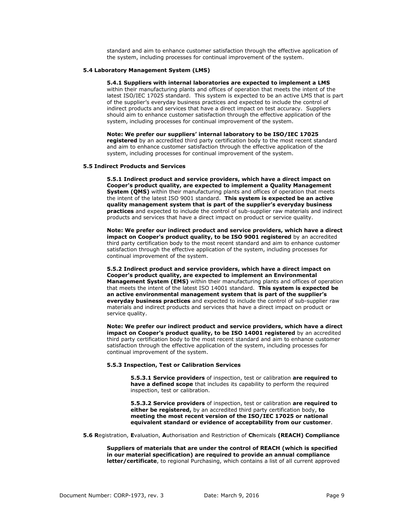standard and aim to enhance customer satisfaction through the effective application of the system, including processes for continual improvement of the system.

### **5.4 Laboratory Management System (LMS)**

**5.4.1 Suppliers with internal laboratories are expected to implement a LMS** within their manufacturing plants and offices of operation that meets the intent of the latest ISO/IEC 17025 standard. This system is expected to be an active LMS that is part of the supplier's everyday business practices and expected to include the control of indirect products and services that have a direct impact on test accuracy. Suppliers should aim to enhance customer satisfaction through the effective application of the system, including processes for continual improvement of the system.

**Note: We prefer our suppliers' internal laboratory to be ISO/IEC 17025 registered** by an accredited third party certification body to the most recent standard and aim to enhance customer satisfaction through the effective application of the system, including processes for continual improvement of the system.

# **5.5 Indirect Products and Services**

**5.5.1 Indirect product and service providers, which have a direct impact on Cooper's product quality, are expected to implement a Quality Management System (QMS)** within their manufacturing plants and offices of operation that meets the intent of the latest ISO 9001 standard. **This system is expected be an active quality management system that is part of the supplier's everyday business practices** and expected to include the control of sub-supplier raw materials and indirect products and services that have a direct impact on product or service quality.

**Note: We prefer our indirect product and service providers, which have a direct impact on Cooper's product quality, to be ISO 9001 registered** by an accredited third party certification body to the most recent standard and aim to enhance customer satisfaction through the effective application of the system, including processes for continual improvement of the system.

**5.5.2 Indirect product and service providers, which have a direct impact on Cooper's product quality, are expected to implement an Environmental Management System (EMS)** within their manufacturing plants and offices of operation that meets the intent of the latest ISO 14001 standard. **This system is expected be an active environmental management system that is part of the supplier's everyday business practices** and expected to include the control of sub-supplier raw materials and indirect products and services that have a direct impact on product or service quality.

**Note: We prefer our indirect product and service providers, which have a direct impact on Cooper's product quality, to be ISO 14001 registered** by an accredited third party certification body to the most recent standard and aim to enhance customer satisfaction through the effective application of the system, including processes for continual improvement of the system.

#### **5.5.3 Inspection, Test or Calibration Services**

**5.5.3.1 Service providers** of inspection, test or calibration **are required to have a defined scope** that includes its capability to perform the required inspection, test or calibration.

**5.5.3.2 Service providers** of inspection, test or calibration **are required to either be registered,** by an accredited third party certification body, **to meeting the most recent version of the ISO/IEC 17025 or national equivalent standard or evidence of acceptability from our customer**.

**5.6 R**egistration, **E**valuation, **A**uthorisation and Restriction of **Ch**emicals **(REACH) Compliance**

**Suppliers of materials that are under the control of REACH (which is specified in our material specification) are required to provide an annual compliance letter/certificate**, to regional Purchasing, which contains a list of all current approved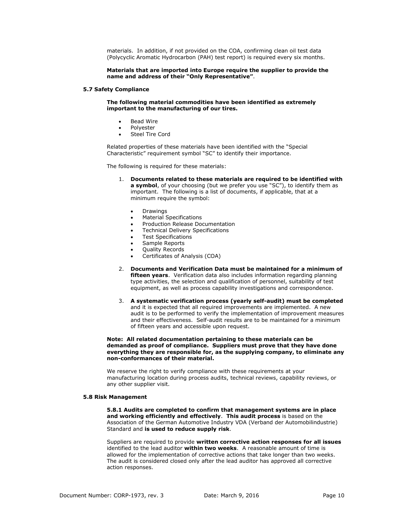materials. In addition, if not provided on the COA, confirming clean oil test data (Polycyclic Aromatic Hydrocarbon (PAH) test report) is required every six months.

### **Materials that are imported into Europe require the supplier to provide the name and address of their "Only Representative"**.

#### **5.7 Safety Compliance**

**The following material commodities have been identified as extremely important to the manufacturing of our tires.**

- Bead Wire
- Polyester
- Steel Tire Cord

Related properties of these materials have been identified with the "Special Characteristic" requirement symbol "SC" to identify their importance.

The following is required for these materials:

- 1. **Documents related to these materials are required to be identified with a symbol**, of your choosing (but we prefer you use "SC"), to identify them as important. The following is a list of documents, if applicable, that at a minimum require the symbol:
	- Drawings
	- Material Specifications
	- Production Release Documentation
	- Technical Delivery Specifications
	- Test Specifications
	- Sample Reports
	- Quality Records
	- Certificates of Analysis (COA)
- 2. **Documents and Verification Data must be maintained for a minimum of fifteen years**. Verification data also includes information regarding planning type activities, the selection and qualification of personnel, suitability of test equipment, as well as process capability investigations and correspondence.
- 3. **A systematic verification process (yearly self-audit) must be completed** and it is expected that all required improvements are implemented. A new audit is to be performed to verify the implementation of improvement measures and their effectiveness. Self-audit results are to be maintained for a minimum of fifteen years and accessible upon request.

#### **Note: All related documentation pertaining to these materials can be demanded as proof of compliance. Suppliers must prove that they have done everything they are responsible for, as the supplying company, to eliminate any non-conformances of their material.**

We reserve the right to verify compliance with these requirements at your manufacturing location during process audits, technical reviews, capability reviews, or any other supplier visit.

#### **5.8 Risk Management**

**5.8.1 Audits are completed to confirm that management systems are in place and working efficiently and effectively**. **This audit process** is based on the Association of the German Automotive Industry VDA (Verband der Automobilindustrie) Standard and **is used to reduce supply risk**.

Suppliers are required to provide **written corrective action responses for all issues** identified to the lead auditor **within two weeks**. A reasonable amount of time is allowed for the implementation of corrective actions that take longer than two weeks. The audit is considered closed only after the lead auditor has approved all corrective action responses.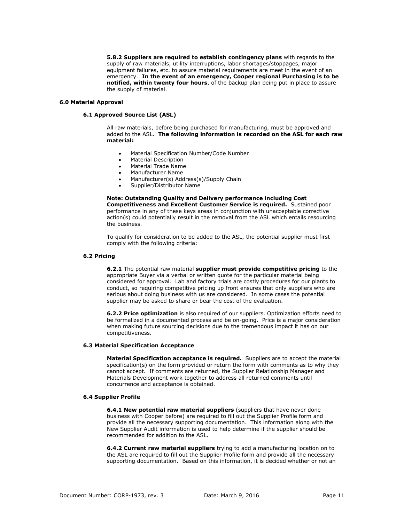**5.8.2 Suppliers are required to establish contingency plans** with regards to the supply of raw materials, utility interruptions, labor shortages/stoppages, major equipment failures, etc. to assure material requirements are meet in the event of an emergency. **In the event of an emergency, Cooper regional Purchasing is to be notified, within twenty four hours**, of the backup plan being put in place to assure the supply of material.

# <span id="page-10-0"></span>**6.0 Material Approval**

# **6.1 Approved Source List (ASL)**

All raw materials, before being purchased for manufacturing, must be approved and added to the ASL. **The following information is recorded on the ASL for each raw material:**

- Material Specification Number/Code Number
- Material Description
- Material Trade Name
- Manufacturer Name
- Manufacturer(s) Address(s)/Supply Chain
- Supplier/Distributor Name

# **Note: Outstanding Quality and Delivery performance including Cost**

**Competitiveness and Excellent Customer Service is required.** Sustained poor performance in any of these keys areas in conjunction with unacceptable corrective action(s) could potentially result in the removal from the ASL which entails resourcing the business.

To qualify for consideration to be added to the ASL, the potential supplier must first comply with the following criteria:

#### **6.2 Pricing**

**6.2.1** The potential raw material **supplier must provide competitive pricing** to the appropriate Buyer via a verbal or written quote for the particular material being considered for approval. Lab and factory trials are costly procedures for our plants to conduct, so requiring competitive pricing up front ensures that only suppliers who are serious about doing business with us are considered. In some cases the potential supplier may be asked to share or bear the cost of the evaluation.

**6.2.2 Price optimization** is also required of our suppliers. Optimization efforts need to be formalized in a documented process and be on-going. Price is a major consideration when making future sourcing decisions due to the tremendous impact it has on our competitiveness.

# **6.3 Material Specification Acceptance**

**Material Specification acceptance is required.** Suppliers are to accept the material specification(s) on the form provided or return the form with comments as to why they cannot accept. If comments are returned, the Supplier Relationship Manager and Materials Development work together to address all returned comments until concurrence and acceptance is obtained.

#### **6.4 Supplier Profile**

**6.4.1 New potential raw material suppliers** (suppliers that have never done business with Cooper before) are required to fill out the Supplier Profile form and provide all the necessary supporting documentation. This information along with the New Supplier Audit information is used to help determine if the supplier should be recommended for addition to the ASL.

**6.4.2 Current raw material suppliers** trying to add a manufacturing location on to the ASL are required to fill out the Supplier Profile form and provide all the necessary supporting documentation. Based on this information, it is decided whether or not an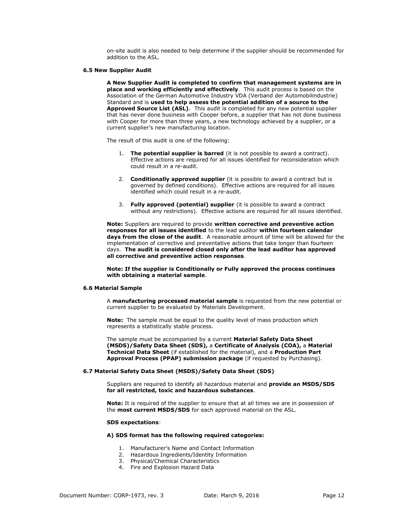on-site audit is also needed to help determine if the supplier should be recommended for addition to the ASL.

### **6.5 New Supplier Audit**

**A New Supplier Audit is completed to confirm that management systems are in place and working efficiently and effectively**.This audit process is based on the Association of the German Automotive Industry VDA (Verband der Automobilindustrie) Standard and is **used to help assess the potential addition of a source to the Approved Source List (ASL)**. This audit is completed for any new potential supplier that has never done business with Cooper before, a supplier that has not done business with Cooper for more than three years, a new technology achieved by a supplier, or a current supplier's new manufacturing location.

The result of this audit is one of the following:

- 1. **The potential supplier is barred** (it is not possible to award a contract). Effective actions are required for all issues identified for reconsideration which could result in a re-audit.
- 2. **Conditionally approved supplier** (it is possible to award a contract but is governed by defined conditions). Effective actions are required for all issues identified which could result in a re-audit.
- 3. **Fully approved (potential) supplier** (it is possible to award a contract without any restrictions). Effective actions are required for all issues identified.

**Note:** Suppliers are required to provide **written corrective and preventive action responses for all issues identified** to the lead auditor **within fourteen calendar days from the close of the audit**. A reasonable amount of time will be allowed for the implementation of corrective and preventative actions that take longer than fourteen days. **The audit is considered closed only after the lead auditor has approved all corrective and preventive action responses**.

# **Note: If the supplier is Conditionally or Fully approved the process continues with obtaining a material sample**.

#### **6.6 Material Sample**

A **manufacturing processed material sample** is requested from the new potential or current supplier to be evaluated by Materials Development.

**Note:** The sample must be equal to the quality level of mass production which represents a statistically stable process.

The sample must be accompanied by a current **Material Safety Data Sheet (MSDS)/Safety Data Sheet (SDS),** a **Certificate of Analysis (COA),** a **Material Technical Data Sheet** (if established for the material), and a **Production Part Approval Process (PPAP) submission package** (if requested by Purchasing).

### **6.7 Material Safety Data Sheet (MSDS)/Safety Data Sheet (SDS)**

Suppliers are required to identify all hazardous material and **provide an MSDS/SDS for all restricted, toxic and hazardous substances**.

**Note:** It is required of the supplier to ensure that at all times we are in possession of the **most current MSDS/SDS** for each approved material on the ASL.

#### **SDS expectations**:

# **A) SDS format has the following required categories:**

- 1. Manufacturer's Name and Contact Information
- 2. Hazardous Ingredients/Identity Information
- 3. Physical/Chemical Characteristics
- 4. Fire and Explosion Hazard Data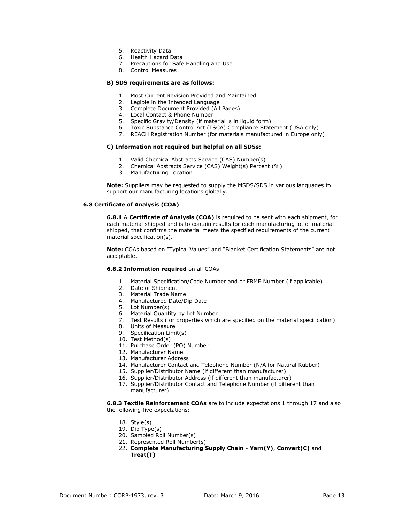- 5. Reactivity Data
- 6. Health Hazard Data
- 7. Precautions for Safe Handling and Use
- 8. Control Measures

# **B) SDS requirements are as follows:**

- 1. Most Current Revision Provided and Maintained
- 2. Legible in the Intended Language
- 3. Complete Document Provided (All Pages)
- 4. Local Contact & Phone Number
- 5. Specific Gravity/Density (if material is in liquid form)
- 6. Toxic Substance Control Act (TSCA) Compliance Statement (USA only)
- 7. REACH Registration Number (for materials manufactured in Europe only)

# **C) Information not required but helpful on all SDSs:**

- 1. Valid Chemical Abstracts Service (CAS) Number(s)
- 2. Chemical Abstracts Service (CAS) Weight(s) Percent (%)
- 3. Manufacturing Location

**Note:** Suppliers may be requested to supply the MSDS/SDS in various languages to support our manufacturing locations globally.

# **6.8 Certificate of Analysis (COA)**

**6.8.1** A **Certificate of Analysis (COA)** is required to be sent with each shipment, for each material shipped and is to contain results for each manufacturing lot of material shipped, that confirms the material meets the specified requirements of the current material specification(s).

**Note:** COAs based on "Typical Values" and "Blanket Certification Statements" are not acceptable.

# **6.8.2 Information required** on all COAs:

- 1. Material Specification/Code Number and or FRME Number (if applicable)
- 2. Date of Shipment
- 3. Material Trade Name
- 4. Manufactured Date/Dip Date
- 5. Lot Number(s)
- 6. Material Quantity by Lot Number
- 7. Test Results (for properties which are specified on the material specification)
- 8. Units of Measure
- 9. Specification Limit(s)
- 10. Test Method(s)
- 11. Purchase Order (PO) Number
- 12. Manufacturer Name
- 13. Manufacturer Address
- 14. Manufacturer Contact and Telephone Number (N/A for Natural Rubber)
- 15. Supplier/Distributor Name (if different than manufacturer)
- 16. Supplier/Distributor Address (if different than manufacturer)
- 17. Supplier/Distributor Contact and Telephone Number (if different than manufacturer)

**6.8.3 Textile Reinforcement COAs** are to include expectations 1 through 17 and also the following five expectations:

- 18. Style(s)
- 19. Dip Type(s)
- 20. Sampled Roll Number(s)
- 21. Represented Roll Number(s)
- 22. **Complete Manufacturing Supply Chain Yarn(Y)**, **Convert(C)** and **Treat(T)**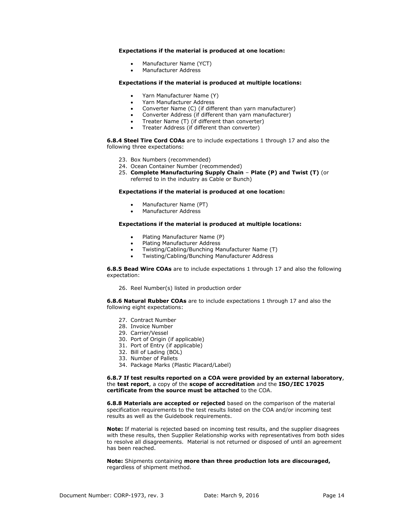# **Expectations if the material is produced at one location:**

- Manufacturer Name (YCT)
- Manufacturer Address

### **Expectations if the material is produced at multiple locations:**

- Yarn Manufacturer Name (Y)
- Yarn Manufacturer Address
- Converter Name (C) (if different than yarn manufacturer)
- Converter Address (if different than yarn manufacturer)
- Treater Name (T) (if different than converter)
- Treater Address (if different than converter)

**6.8.4 Steel Tire Cord COAs** are to include expectations 1 through 17 and also the following three expectations:

- 23. Box Numbers (recommended)
- 24. Ocean Container Number (recommended)
- 25. **Complete Manufacturing Supply Chain Plate (P) and Twist (T)** (or referred to in the industry as Cable or Bunch)

### **Expectations if the material is produced at one location:**

- Manufacturer Name (PT)
- Manufacturer Address

# **Expectations if the material is produced at multiple locations:**

- Plating Manufacturer Name (P)
- Plating Manufacturer Address
- Twisting/Cabling/Bunching Manufacturer Name (T)
- Twisting/Cabling/Bunching Manufacturer Address

**6.8.5 Bead Wire COAs** are to include expectations 1 through 17 and also the following expectation:

26. Reel Number(s) listed in production order

**6.8.6 Natural Rubber COAs** are to include expectations 1 through 17 and also the following eight expectations:

- 27. Contract Number
- 28. Invoice Number
- 29. Carrier/Vessel
- 30. Port of Origin (if applicable)
- 31. Port of Entry (if applicable)
- 32. Bill of Lading (BOL)
- 33. Number of Pallets
- 34. Package Marks (Plastic Placard/Label)

**6.8.7 If test results reported on a COA were provided by an external laboratory**, the **test report**, a copy of the **scope of accreditation** and the **ISO/IEC 17025 certificate from the source must be attached** to the COA.

**6.8.8 Materials are accepted or rejected** based on the comparison of the material specification requirements to the test results listed on the COA and/or incoming test results as well as the Guidebook requirements.

**Note:** If material is rejected based on incoming test results, and the supplier disagrees with these results, then Supplier Relationship works with representatives from both sides to resolve all disagreements. Material is not returned or disposed of until an agreement has been reached.

**Note:** Shipments containing **more than three production lots are discouraged,**  regardless of shipment method.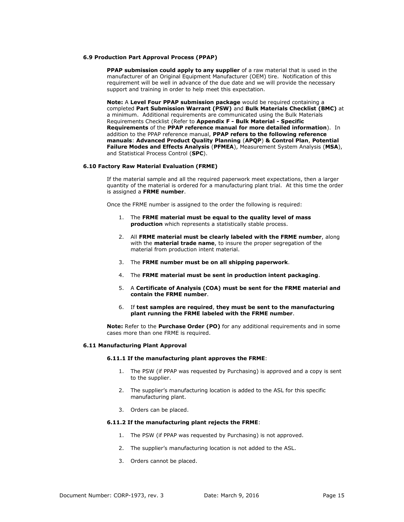### **6.9 Production Part Approval Process (PPAP)**

**PPAP submission could apply to any supplier** of a raw material that is used in the manufacturer of an Original Equipment Manufacturer (OEM) tire. Notification of this requirement will be well in advance of the due date and we will provide the necessary support and training in order to help meet this expectation.

**Note:** A **Level Four PPAP submission package** would be required containing a completed **Part Submission Warrant (PSW)** and **Bulk Materials Checklist (BMC)** at a minimum. Additional requirements are communicated using the Bulk Materials Requirements Checklist (Refer to **Appendix F - Bulk Material - Specific Requirements** of the **PPAP reference manual for more detailed information**). In addition to the PPAP reference manual, **PPAP refers to the following reference manuals**: **Advanced Product Quality Planning** (**APQP**) **& Control Plan**, **Potential Failure Modes and Effects Analysis** (**PFMEA**), Measurement System Analysis (**MSA**), and Statistical Process Control (**SPC**).

# **6.10 Factory Raw Material Evaluation (FRME)**

If the material sample and all the required paperwork meet expectations, then a larger quantity of the material is ordered for a manufacturing plant trial. At this time the order is assigned a **FRME number**.

Once the FRME number is assigned to the order the following is required:

- 1. The **FRME material must be equal to the quality level of mass production** which represents a statistically stable process.
- 2. All **FRME material must be clearly labeled with the FRME number**, along with the **material trade name**, to insure the proper segregation of the material from production intent material.
- 3. The **FRME number must be on all shipping paperwork**.
- 4. The **FRME material must be sent in production intent packaging**.
- 5. A **Certificate of Analysis (COA) must be sent for the FRME material and contain the FRME number**.
- 6. If **test samples are required**, **they must be sent to the manufacturing plant running the FRME labeled with the FRME number**.

**Note:** Refer to the **Purchase Order (PO)** for any additional requirements and in some cases more than one FRME is required.

#### **6.11 Manufacturing Plant Approval**

# **6.11.1 If the manufacturing plant approves the FRME**:

- 1. The PSW (if PPAP was requested by Purchasing) is approved and a copy is sent to the supplier.
- 2. The supplier's manufacturing location is added to the ASL for this specific manufacturing plant.
- 3. Orders can be placed.

#### **6.11.2 If the manufacturing plant rejects the FRME**:

- 1. The PSW (if PPAP was requested by Purchasing) is not approved.
- 2. The supplier's manufacturing location is not added to the ASL.
- 3. Orders cannot be placed.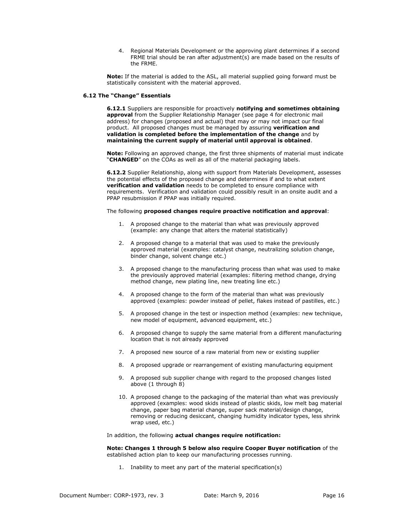4. Regional Materials Development or the approving plant determines if a second FRME trial should be ran after adjustment(s) are made based on the results of the FRME.

**Note:** If the material is added to the ASL, all material supplied going forward must be statistically consistent with the material approved.

# **6.12 The "Change" Essentials**

**6.12.1** Suppliers are responsible for proactively **notifying and sometimes obtaining approval** from the Supplier Relationship Manager (see page 4 for electronic mail address) for changes (proposed and actual) that may or may not impact our final product. All proposed changes must be managed by assuring **verification and validation is completed before the implementation of the change** and by **maintaining the current supply of material until approval is obtained**.

**Note:** Following an approved change, the first three shipments of material must indicate "**CHANGED**" on the COAs as well as all of the material packaging labels.

**6.12.2** Supplier Relationship, along with support from Materials Development, assesses the potential effects of the proposed change and determines if and to what extent **verification and validation** needs to be completed to ensure compliance with requirements. Verification and validation could possibly result in an onsite audit and a PPAP resubmission if PPAP was initially required.

# The following **proposed changes require proactive notification and approval**:

- 1. A proposed change to the material than what was previously approved (example: any change that alters the material statistically)
- 2. A proposed change to a material that was used to make the previously approved material (examples: catalyst change, neutralizing solution change, binder change, solvent change etc.)
- 3. A proposed change to the manufacturing process than what was used to make the previously approved material (examples: filtering method change, drying method change, new plating line, new treating line etc.)
- 4. A proposed change to the form of the material than what was previously approved (examples: powder instead of pellet, flakes instead of pastilles, etc.)
- 5. A proposed change in the test or inspection method (examples: new technique, new model of equipment, advanced equipment, etc.)
- 6. A proposed change to supply the same material from a different manufacturing location that is not already approved
- 7. A proposed new source of a raw material from new or existing supplier
- 8. A proposed upgrade or rearrangement of existing manufacturing equipment
- 9. A proposed sub supplier change with regard to the proposed changes listed above (1 through 8)
- 10. A proposed change to the packaging of the material than what was previously approved (examples: wood skids instead of plastic skids, low melt bag material change, paper bag material change, super sack material/design change, removing or reducing desiccant, changing humidity indicator types, less shrink wrap used, etc.)

In addition, the following **actual changes require notification:**

**Note: Changes 1 through 5 below also require Cooper Buyer notification** of the established action plan to keep our manufacturing processes running.

1. Inability to meet any part of the material specification(s)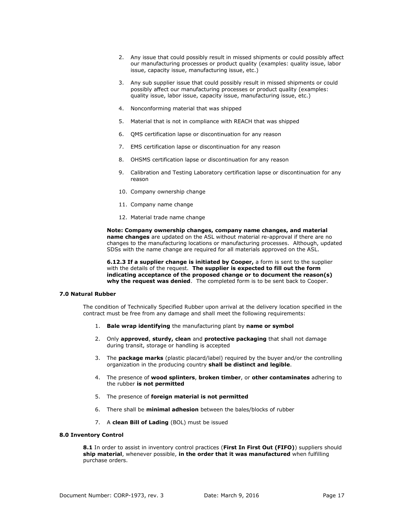- 2. Any issue that could possibly result in missed shipments or could possibly affect our manufacturing processes or product quality (examples: quality issue, labor issue, capacity issue, manufacturing issue, etc.)
- 3. Any sub supplier issue that could possibly result in missed shipments or could possibly affect our manufacturing processes or product quality (examples: quality issue, labor issue, capacity issue, manufacturing issue, etc.)
- 4. Nonconforming material that was shipped
- 5. Material that is not in compliance with REACH that was shipped
- 6. QMS certification lapse or discontinuation for any reason
- 7. EMS certification lapse or discontinuation for any reason
- 8. OHSMS certification lapse or discontinuation for any reason
- 9. Calibration and Testing Laboratory certification lapse or discontinuation for any reason
- 10. Company ownership change
- 11. Company name change
- 12. Material trade name change

**Note: Company ownership changes, company name changes, and material name changes** are updated on the ASL without material re-approval if there are no changes to the manufacturing locations or manufacturing processes. Although, updated SDSs with the name change are required for all materials approved on the ASL.

**6.12.3 If a supplier change is initiated by Cooper,** a form is sent to the supplier with the details of the request. **The supplier is expected to fill out the form indicating acceptance of the proposed change or to document the reason(s) why the request was denied**. The completed form is to be sent back to Cooper.

#### <span id="page-16-0"></span>**7.0 Natural Rubber**

The condition of Technically Specified Rubber upon arrival at the delivery location specified in the contract must be free from any damage and shall meet the following requirements:

- 1. **Bale wrap identifying** the manufacturing plant by **name or symbol**
- 2. Only **approved**, **sturdy, clean** and **protective packaging** that shall not damage during transit, storage or handling is accepted
- 3. The **package marks** (plastic placard/label) required by the buyer and/or the controlling organization in the producing country **shall be distinct and legible**.
- 4. The presence of **wood splinters**, **broken timber**, or **other contaminates** adhering to the rubber **is not permitted**
- 5. The presence of **foreign material is not permitted**
- 6. There shall be **minimal adhesion** between the bales/blocks of rubber
- 7. A **clean Bill of Lading** (BOL) must be issued

# <span id="page-16-1"></span>**8.0 Inventory Control**

**8.1** In order to assist in inventory control practices (**First In First Out (FIFO)**) suppliers should **ship material**, whenever possible, **in the order that it was manufactured** when fulfilling purchase orders.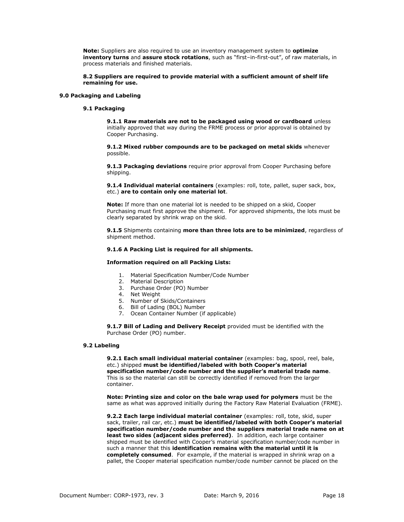**Note:** Suppliers are also required to use an inventory management system to **optimize inventory turns** and **assure stock rotations**, such as "first–in-first-out", of raw materials, in process materials and finished materials.

**8.2 Suppliers are required to provide material with a sufficient amount of shelf life remaining for use.**

### <span id="page-17-0"></span>**9.0 Packaging and Labeling**

# **9.1 Packaging**

**9.1.1 Raw materials are not to be packaged using wood or cardboard** unless initially approved that way during the FRME process or prior approval is obtained by Cooper Purchasing.

**9.1.2 Mixed rubber compounds are to be packaged on metal skids** whenever possible.

**9.1.3 Packaging deviations** require prior approval from Cooper Purchasing before shipping.

**9.1.4 Individual material containers** (examples: roll, tote, pallet, super sack, box, etc.) **are to contain only one material lot**.

**Note:** If more than one material lot is needed to be shipped on a skid, Cooper Purchasing must first approve the shipment. For approved shipments, the lots must be clearly separated by shrink wrap on the skid.

**9.1.5** Shipments containing **more than three lots are to be minimized**, regardless of shipment method.

# **9.1.6 A Packing List is required for all shipments.**

#### **Information required on all Packing Lists:**

- 1. Material Specification Number/Code Number
- 2. Material Description
- 3. Purchase Order (PO) Number
- 4. Net Weight
- 5. Number of Skids/Containers
- 6. Bill of Lading (BOL) Number
- 7. Ocean Container Number (if applicable)

**9.1.7 Bill of Lading and Delivery Receipt** provided must be identified with the Purchase Order (PO) number.

#### **9.2 Labeling**

**9.2.1 Each small individual material container** (examples: bag, spool, reel, bale, etc.) shipped **must be identified/labeled with both Cooper's material specification number/code number and the supplier's material trade name**. This is so the material can still be correctly identified if removed from the larger container.

**Note: Printing size and color on the bale wrap used for polymers** must be the same as what was approved initially during the Factory Raw Material Evaluation (FRME).

**9.2.2 Each large individual material container** (examples: roll, tote, skid, super sack, trailer, rail car, etc.) **must be identified/labeled with both Cooper's material specification number/code number and the suppliers material trade name on at least two sides (adjacent sides preferred)**. In addition, each large container shipped must be identified with Cooper's material specification number/code number in such a manner that this **identification remains with the material until it is completely consumed**. For example, if the material is wrapped in shrink wrap on a pallet, the Cooper material specification number/code number cannot be placed on the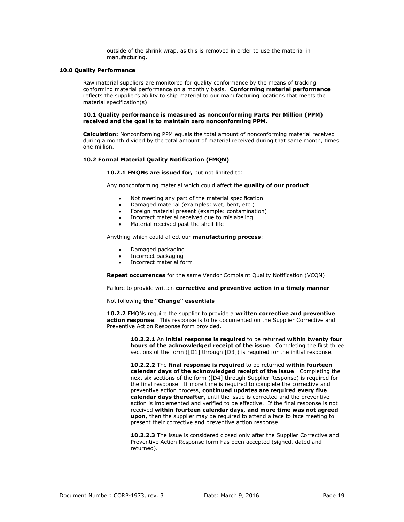outside of the shrink wrap, as this is removed in order to use the material in manufacturing.

### <span id="page-18-0"></span>**10.0 Quality Performance**

Raw material suppliers are monitored for quality conformance by the means of tracking conforming material performance on a monthly basis. **Conforming material performance** reflects the supplier's ability to ship material to our manufacturing locations that meets the material specification(s).

#### **10.1 Quality performance is measured as nonconforming Parts Per Million (PPM) received and the goal is to maintain zero nonconforming PPM**.

**Calculation:** Nonconforming PPM equals the total amount of nonconforming material received during a month divided by the total amount of material received during that same month, times one million.

# **10.2 Formal Material Quality Notification (FMQN)**

# **10.2.1 FMQNs are issued for,** but not limited to:

Any nonconforming material which could affect the **quality of our product**:

- Not meeting any part of the material specification
- Damaged material (examples: wet, bent, etc.)
- Foreign material present (example: contamination)
- Incorrect material received due to mislabeling
- Material received past the shelf life

Anything which could affect our **manufacturing process**:

- Damaged packaging
- Incorrect packaging
- Incorrect material form

**Repeat occurrences** for the same Vendor Complaint Quality Notification (VCQN)

Failure to provide written **corrective and preventive action in a timely manner**

# Not following **the "Change" essentials**

**10.2.2** FMQNs require the supplier to provide a **written corrective and preventive action response**. This response is to be documented on the Supplier Corrective and Preventive Action Response form provided.

> **10.2.2.1** An **initial response is required** to be returned **within twenty four hours of the acknowledged receipt of the issue**. Completing the first three sections of the form ([D1] through [D3]) is required for the initial response.

**10.2.2.2** The **final response is required** to be returned **within fourteen calendar days of the acknowledged receipt of the issue**. Completing the next six sections of the form ([D4] through Supplier Response) is required for the final response. If more time is required to complete the corrective and preventive action process, **continued updates are required every five calendar days thereafter**, until the issue is corrected and the preventive action is implemented and verified to be effective. If the final response is not received **within fourteen calendar days, and more time was not agreed upon,** then the supplier may be required to attend a face to face meeting to present their corrective and preventive action response.

**10.2.2.3** The issue is considered closed only after the Supplier Corrective and Preventive Action Response form has been accepted (signed, dated and returned).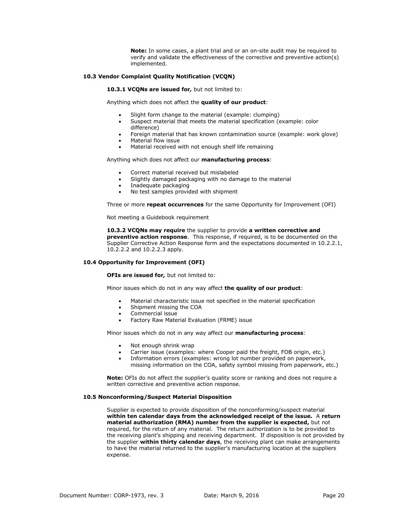**Note:** In some cases, a plant trial and or an on-site audit may be required to verify and validate the effectiveness of the corrective and preventive action(s) implemented.

# **10.3 Vendor Complaint Quality Notification (VCQN)**

**10.3.1 VCQNs are issued for***,* but not limited to:

Anything which does not affect the **quality of our product**:

- Slight form change to the material (example: clumping)
- Suspect material that meets the material specification (example: color difference)
- Foreign material that has known contamination source (example: work glove)
- Material flow issue
- Material received with not enough shelf life remaining

Anything which does not affect our **manufacturing process**:

- Correct material received but mislabeled
- Slightly damaged packaging with no damage to the material
- Inadequate packaging
- No test samples provided with shipment

Three or more **repeat occurrences** for the same Opportunity for Improvement (OFI)

Not meeting a Guidebook requirement

**10.3.2 VCQNs may require** the supplier to provide **a written corrective and preventive action response**. This response, if required, is to be documented on the Supplier Corrective Action Response form and the expectations documented in 10.2.2.1, 10.2.2.2 and 10.2.2.3 apply.

# **10.4 Opportunity for Improvement (OFI)**

**OFIs are issued for***,* but not limited to:

Minor issues which do not in any way affect **the quality of our product**:

- Material characteristic issue not specified in the material specification
- Shipment missing the COA
- Commercial issue
- Factory Raw Material Evaluation (FRME) issue

Minor issues which do not in any way affect our **manufacturing process**:

- Not enough shrink wrap
- Carrier issue (examples: where Cooper paid the freight, FOB origin, etc.)
- Information errors (examples: wrong lot number provided on paperwork, missing information on the COA, safety symbol missing from paperwork, etc.)

**Note:** OFIs do not affect the supplier's quality score or ranking and does not require a written corrective and preventive action response*.*

#### **10.5 Nonconforming/Suspect Material Disposition**

Supplier is expected to provide disposition of the nonconforming/suspect material **within ten calendar days from the acknowledged receipt of the issue***.* A **return material authorization (RMA) number from the supplier is expected,** but not required, for the return of any material. The return authorization is to be provided to the receiving plant's shipping and receiving department. If disposition is not provided by the supplier **within thirty calendar days**, the receiving plant can make arrangements to have the material returned to the supplier's manufacturing location at the suppliers expense.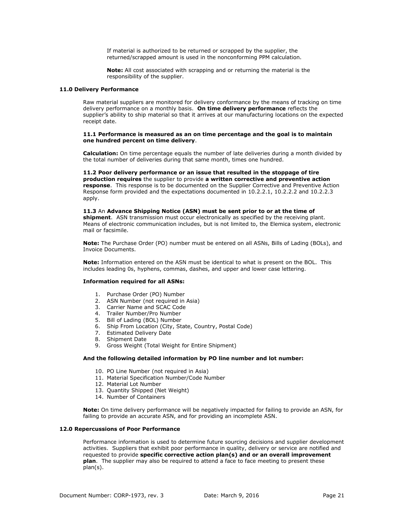If material is authorized to be returned or scrapped by the supplier, the returned/scrapped amount is used in the nonconforming PPM calculation.

**Note:** All cost associated with scrapping and or returning the material is the responsibility of the supplier.

# <span id="page-20-0"></span>**11.0 Delivery Performance**

Raw material suppliers are monitored for delivery conformance by the means of tracking on time delivery performance on a monthly basis. **On time delivery performance** reflects the supplier's ability to ship material so that it arrives at our manufacturing locations on the expected receipt date.

# **11.1 Performance is measured as an on time percentage and the goal is to maintain one hundred percent on time delivery**.

**Calculation:** On time percentage equals the number of late deliveries during a month divided by the total number of deliveries during that same month, times one hundred.

**11.2 Poor delivery performance or an issue that resulted in the stoppage of tire production requires** the supplier to provide **a written corrective and preventive action response**. This response is to be documented on the Supplier Corrective and Preventive Action Response form provided and the expectations documented in 10.2.2.1, 10.2.2.2 and 10.2.2.3 apply.

**11.3** An **Advance Shipping Notice (ASN) must be sent prior to or at the time of shipment**. ASN transmission must occur electronically as specified by the receiving plant. Means of electronic communication includes, but is not limited to, the Elemica system, electronic mail or facsimile.

**Note:** The Purchase Order (PO) number must be entered on all ASNs, Bills of Lading (BOLs), and Invoice Documents.

**Note:** Information entered on the ASN must be identical to what is present on the BOL. This includes leading 0s, hyphens, commas, dashes, and upper and lower case lettering.

### **Information required for all ASNs:**

- 1. Purchase Order (PO) Number
- 2. ASN Number (not required in Asia)
- 3. Carrier Name and SCAC Code
- 4. Trailer Number/Pro Number
- 5. Bill of Lading (BOL) Number
- 6. Ship From Location (City, State, Country, Postal Code)
- 7. Estimated Delivery Date
- 8. Shipment Date
- 9. Gross Weight (Total Weight for Entire Shipment)

# **And the following detailed information by PO line number and lot number:**

- 10. PO Line Number (not required in Asia)
- 11. Material Specification Number/Code Number
- 12. Material Lot Number
- 13. Quantity Shipped (Net Weight)
- 14. Number of Containers

**Note:** On time delivery performance will be negatively impacted for failing to provide an ASN, for failing to provide an accurate ASN, and for providing an incomplete ASN.

#### <span id="page-20-1"></span>**12.0 Repercussions of Poor Performance**

Performance information is used to determine future sourcing decisions and supplier development activities. Suppliers that exhibit poor performance in quality, delivery or service are notified and requested to provide **specific corrective action plan(s) and or an overall improvement plan**. The supplier may also be required to attend a face to face meeting to present these plan(s).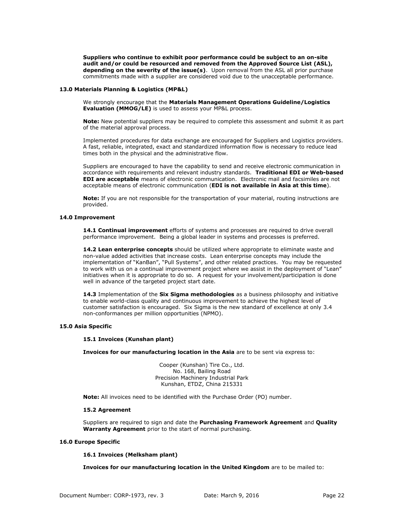**Suppliers who continue to exhibit poor performance could be subject to an on-site audit and/or could be resourced and removed from the Approved Source List (ASL), depending on the severity of the issue(s)**. Upon removal from the ASL all prior purchase commitments made with a supplier are considered void due to the unacceptable performance.

### <span id="page-21-0"></span>**13.0 Materials Planning & Logistics (MP&L)**

We strongly encourage that the **Materials Management Operations Guideline/Logistics Evaluation (MMOG/LE)** is used to assess your MP&L process.

**Note:** New potential suppliers may be required to complete this assessment and submit it as part of the material approval process.

Implemented procedures for data exchange are encouraged for Suppliers and Logistics providers. A fast, reliable, integrated, exact and standardized information flow is necessary to reduce lead times both in the physical and the administrative flow.

Suppliers are encouraged to have the capability to send and receive electronic communication in accordance with requirements and relevant industry standards. **Traditional EDI or Web-based EDI are acceptable** means of electronic communication. Electronic mail and facsimiles are not acceptable means of electronic communication (**EDI is not available in Asia at this time**).

**Note:** If you are not responsible for the transportation of your material, routing instructions are provided.

# <span id="page-21-1"></span>**14.0 Improvement**

**14.1 Continual improvement** efforts of systems and processes are required to drive overall performance improvement. Being a global leader in systems and processes is preferred.

**14.2 Lean enterprise concepts** should be utilized where appropriate to eliminate waste and non-value added activities that increase costs. Lean enterprise concepts may include the implementation of "KanBan", "Pull Systems", and other related practices. You may be requested to work with us on a continual improvement project where we assist in the deployment of "Lean" initiatives when it is appropriate to do so. A request for your involvement/participation is done well in advance of the targeted project start date.

**14.3** Implementation of the **Six Sigma methodologies** as a business philosophy and initiative to enable world-class quality and continuous improvement to achieve the highest level of customer satisfaction is encouraged. Six Sigma is the new standard of excellence at only 3.4 non-conformances per million opportunities (NPMO).

# <span id="page-21-2"></span>**15.0 Asia Specific**

# **15.1 Invoices (Kunshan plant)**

**Invoices for our manufacturing location in the Asia** are to be sent via express to:

Cooper (Kunshan) Tire Co., Ltd. No. 168, Bailing Road Precision Machinery Industrial Park Kunshan, ETDZ, China 215331

**Note:** All invoices need to be identified with the Purchase Order (PO) number.

# **15.2 Agreement**

Suppliers are required to sign and date the **Purchasing Framework Agreement** and **Quality Warranty Agreement** prior to the start of normal purchasing.

# <span id="page-21-3"></span>**16.0 Europe Specific**

# **16.1 Invoices (Melksham plant)**

**Invoices for our manufacturing location in the United Kingdom** are to be mailed to: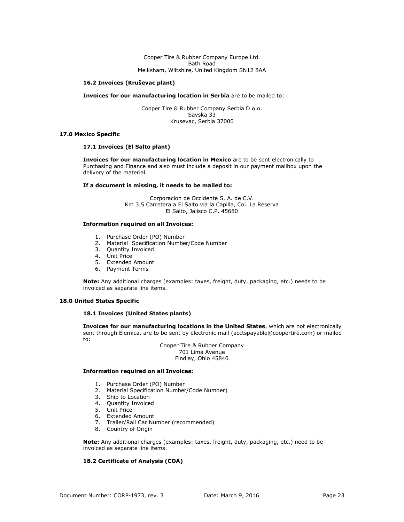Cooper Tire & Rubber Company Europe Ltd. Bath Road Melksham, Wiltshire, United Kingdom SN12 8AA

# **16.2 Invoices (Kruševac plant)**

#### **Invoices for our manufacturing location in Serbia** are to be mailed to:

Cooper Tire & Rubber Company Serbia D.o.o. Savska 33 Krusevac, Serbia 37000

### <span id="page-22-0"></span>**17.0 Mexico Specific**

# **17.1 Invoices (El Salto plant)**

**Invoices for our manufacturing location in Mexico** are to be sent electronically to Purchasing and Finance and also must include a deposit in our payment mailbox upon the delivery of the material.

### **If a document is missing, it needs to be mailed to:**

Corporacion de Occidente S. A. de C.V. Km 3.5 Carretera a El Salto vía la Capilla, Col. La Reserva El Salto, Jalisco C.P. 45680

# **Information required on all Invoices:**

- 1. Purchase Order (PO) Number
- 2. Material Specification Number/Code Number
- 3. Quantity Invoiced
- 4. Unit Price
- 5. Extended Amount
- 6. Payment Terms

**Note:** Any additional charges (examples: taxes, freight, duty, packaging, etc.) needs to be invoiced as separate line items.

# <span id="page-22-1"></span>**18.0 United States Specific**

# **18.1 Invoices (United States plants)**

**Invoices for our manufacturing locations in the United States**, which are not electronically sent through Elemica, are to be sent by electronic mail [\(acctspayable@coopertire.com\)](mailto:acctspayable@coopertire.com) or mailed to:

> Cooper Tire & Rubber Company 701 Lima Avenue Findlay, Ohio 45840

### **Information required on all Invoices:**

- 1. Purchase Order (PO) Number
- 2. Material Specification Number/Code Number)
- 3. Ship to Location
- 4. Quantity Invoiced
- 5. Unit Price
- 6. Extended Amount
- 7. Trailer/Rail Car Number (recommended)
- 8. Country of Origin

**Note:** Any additional charges (examples: taxes, freight, duty, packaging, etc.) need to be invoiced as separate line items.

# **18.2 Certificate of Analysis (COA)**